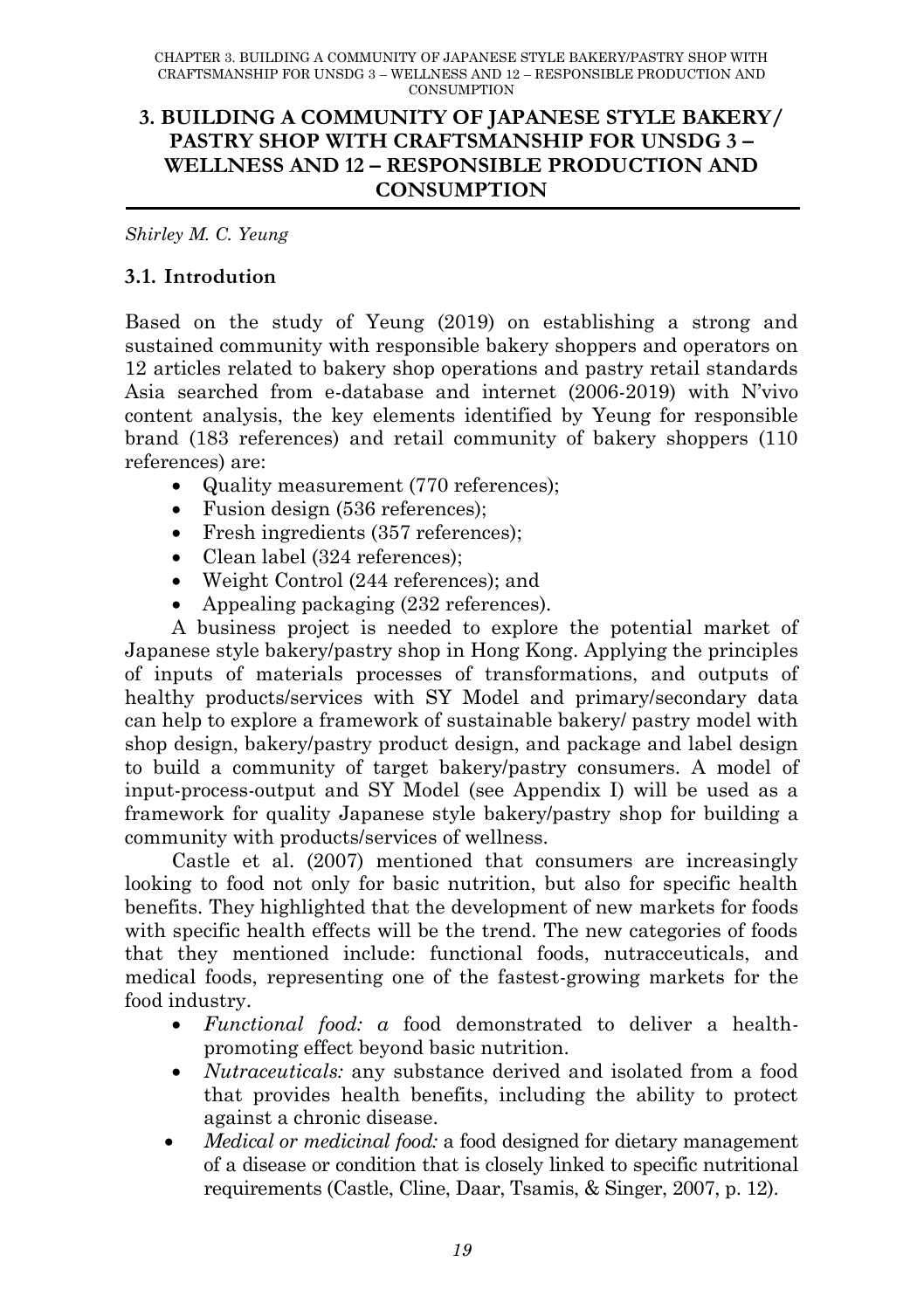#### **3. BUILDING A COMMUNITY OF JAPANESE STYLE BAKERY/ PASTRY SHOP WITH CRAFTSMANSHIP FOR UNSDG 3 – WELLNESS AND 12 – RESPONSIBLE PRODUCTION AND CONSUMPTION**

*Shirley M. C. Yeung*

### **3.1. Introdution**

Based on the study of Yeung (2019) on establishing a strong and sustained community with responsible bakery shoppers and operators on 12 articles related to bakery shop operations and pastry retail standards Asia searched from e-database and internet (2006-2019) with N"vivo content analysis, the key elements identified by Yeung for responsible brand (183 references) and retail community of bakery shoppers (110 references) are:

- Quality measurement (770 references):
- Fusion design (536 references);
- Fresh ingredients (357 references);
- Clean label (324 references):
- Weight Control (244 references); and
- Appealing packaging (232 references).

A business project is needed to explore the potential market of Japanese style bakery/pastry shop in Hong Kong. Applying the principles of inputs of materials processes of transformations, and outputs of healthy products/services with SY Model and primary/secondary data can help to explore a framework of sustainable bakery/ pastry model with shop design, bakery/pastry product design, and package and label design to build a community of target bakery/pastry consumers. A model of input-process-output and SY Model (see Appendix I) will be used as a framework for quality Japanese style bakery/pastry shop for building a community with products/services of wellness.

Castle et al. (2007) mentioned that consumers are increasingly looking to food not only for basic nutrition, but also for specific health benefits. They highlighted that the development of new markets for foods with specific health effects will be the trend. The new categories of foods that they mentioned include: functional foods, nutracceuticals, and medical foods, representing one of the fastest-growing markets for the food industry.

- *Functional food: a* food demonstrated to deliver a healthpromoting effect beyond basic nutrition.
- *Nutraceuticals:* any substance derived and isolated from a food that provides health benefits, including the ability to protect against a chronic disease.
- *Medical or medicinal food:* a food designed for dietary management of a disease or condition that is closely linked to specific nutritional requirements (Castle, Cline, Daar, Tsamis, & Singer, 2007, p. 12).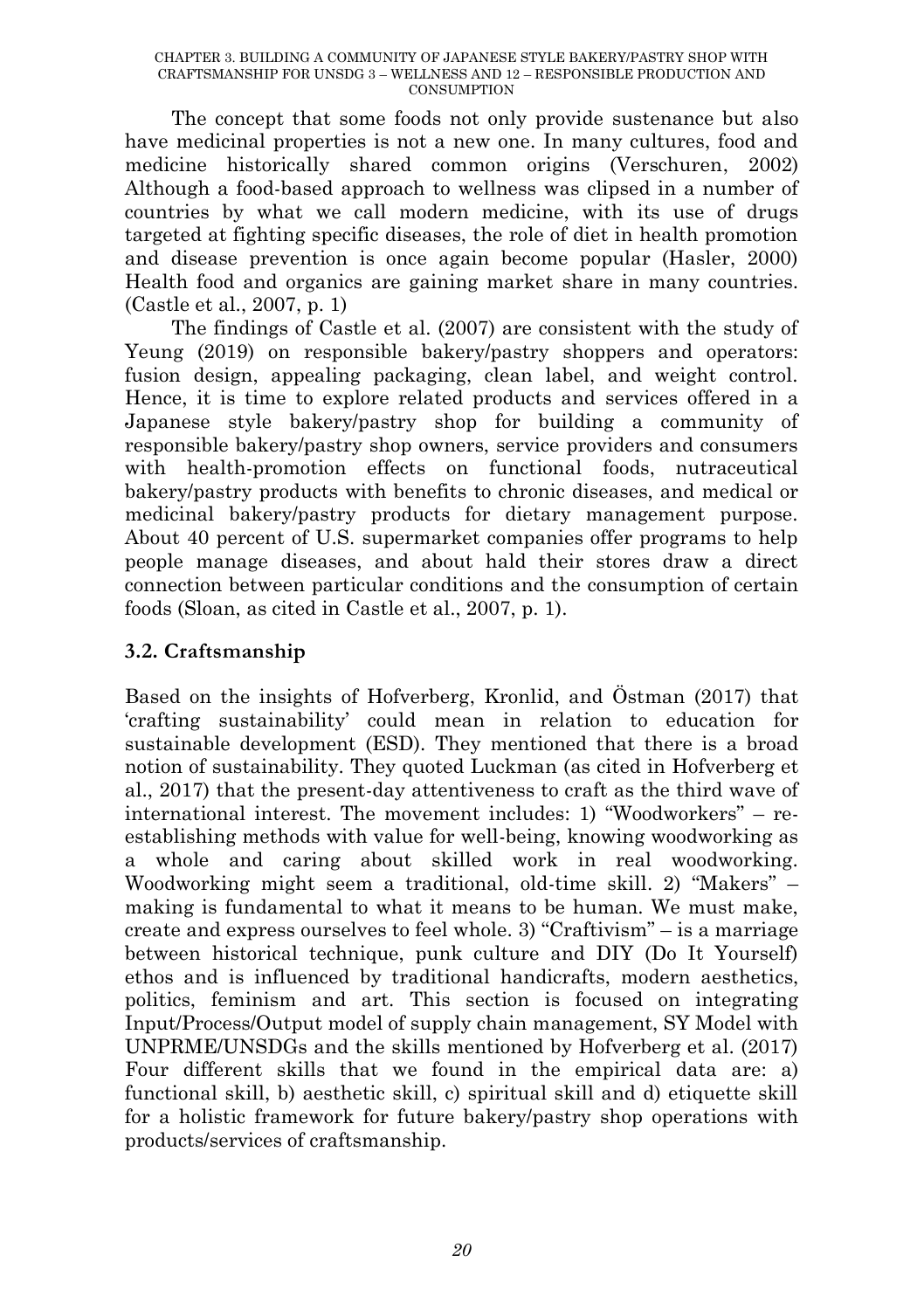The concept that some foods not only provide sustenance but also have medicinal properties is not a new one. In many cultures, food and medicine historically shared common origins (Verschuren, 2002) Although a food-based approach to wellness was clipsed in a number of countries by what we call modern medicine, with its use of drugs targeted at fighting specific diseases, the role of diet in health promotion and disease prevention is once again become popular (Hasler, 2000) Health food and organics are gaining market share in many countries. (Castle et al., 2007, p. 1)

The findings of Castle et al. (2007) are consistent with the study of Yeung (2019) on responsible bakery/pastry shoppers and operators: fusion design, appealing packaging, clean label, and weight control. Hence, it is time to explore related products and services offered in a Japanese style bakery/pastry shop for building a community of responsible bakery/pastry shop owners, service providers and consumers with health-promotion effects on functional foods, nutraceutical bakery/pastry products with benefits to chronic diseases, and medical or medicinal bakery/pastry products for dietary management purpose. About 40 percent of U.S. supermarket companies offer programs to help people manage diseases, and about hald their stores draw a direct connection between particular conditions and the consumption of certain foods (Sloan, as cited in Castle et al., 2007, p. 1).

## **3.2. Craftsmanship**

Based on the insights of Hofverberg, Kronlid, and Östman (2017) that "crafting sustainability" could mean in relation to education for sustainable development (ESD). They mentioned that there is a broad notion of sustainability. They quoted Luckman (as cited in Hofverberg et al., 2017) that the present-day attentiveness to craft as the third wave of international interest. The movement includes: 1) "Woodworkers" – reestablishing methods with value for well-being, knowing woodworking as a whole and caring about skilled work in real woodworking. Woodworking might seem a traditional, old-time skill. 2) "Makers" – making is fundamental to what it means to be human. We must make, create and express ourselves to feel whole. 3) "Craftivism" – is a marriage between historical technique, punk culture and DIY (Do It Yourself) ethos and is influenced by traditional handicrafts, modern aesthetics, politics, feminism and art. This section is focused on integrating Input/Process/Output model of supply chain management, SY Model with UNPRME/UNSDGs and the skills mentioned by Hofverberg et al. (2017) Four different skills that we found in the empirical data are: a) functional skill, b) aesthetic skill, c) spiritual skill and d) etiquette skill for a holistic framework for future bakery/pastry shop operations with products/services of craftsmanship.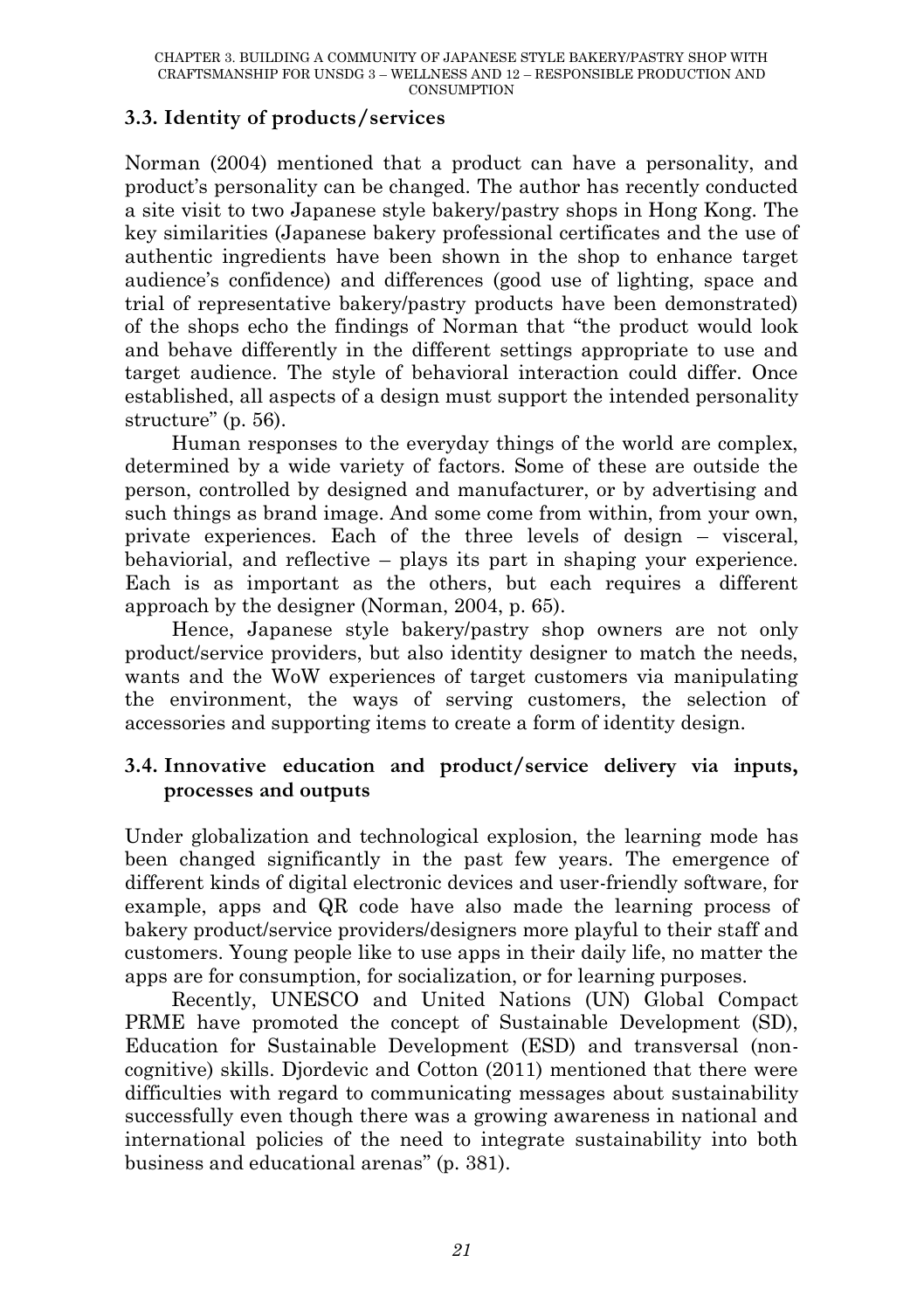### **3.3. Identity of products/services**

Norman (2004) mentioned that a product can have a personality, and product"s personality can be changed. The author has recently conducted a site visit to two Japanese style bakery/pastry shops in Hong Kong. The key similarities (Japanese bakery professional certificates and the use of authentic ingredients have been shown in the shop to enhance target audience"s confidence) and differences (good use of lighting, space and trial of representative bakery/pastry products have been demonstrated) of the shops echo the findings of Norman that "the product would look and behave differently in the different settings appropriate to use and target audience. The style of behavioral interaction could differ. Once established, all aspects of a design must support the intended personality structure" (p. 56).

Human responses to the everyday things of the world are complex, determined by a wide variety of factors. Some of these are outside the person, controlled by designed and manufacturer, or by advertising and such things as brand image. And some come from within, from your own, private experiences. Each of the three levels of design – visceral, behaviorial, and reflective – plays its part in shaping your experience. Each is as important as the others, but each requires a different approach by the designer (Norman, 2004, p. 65).

Hence, Japanese style bakery/pastry shop owners are not only product/service providers, but also identity designer to match the needs, wants and the WoW experiences of target customers via manipulating the environment, the ways of serving customers, the selection of accessories and supporting items to create a form of identity design.

#### **3.4. Innovative education and product/service delivery via inputs, processes and outputs**

Under globalization and technological explosion, the learning mode has been changed significantly in the past few years. The emergence of different kinds of digital electronic devices and user-friendly software, for example, apps and QR code have also made the learning process of bakery product/service providers/designers more playful to their staff and customers. Young people like to use apps in their daily life, no matter the apps are for consumption, for socialization, or for learning purposes.

Recently, UNESCO and United Nations (UN) Global Compact PRME have promoted the concept of Sustainable Development (SD), Education for Sustainable Development (ESD) and transversal (noncognitive) skills. Djordevic and Cotton (2011) mentioned that there were difficulties with regard to communicating messages about sustainability successfully even though there was a growing awareness in national and international policies of the need to integrate sustainability into both business and educational arenas" (p. 381).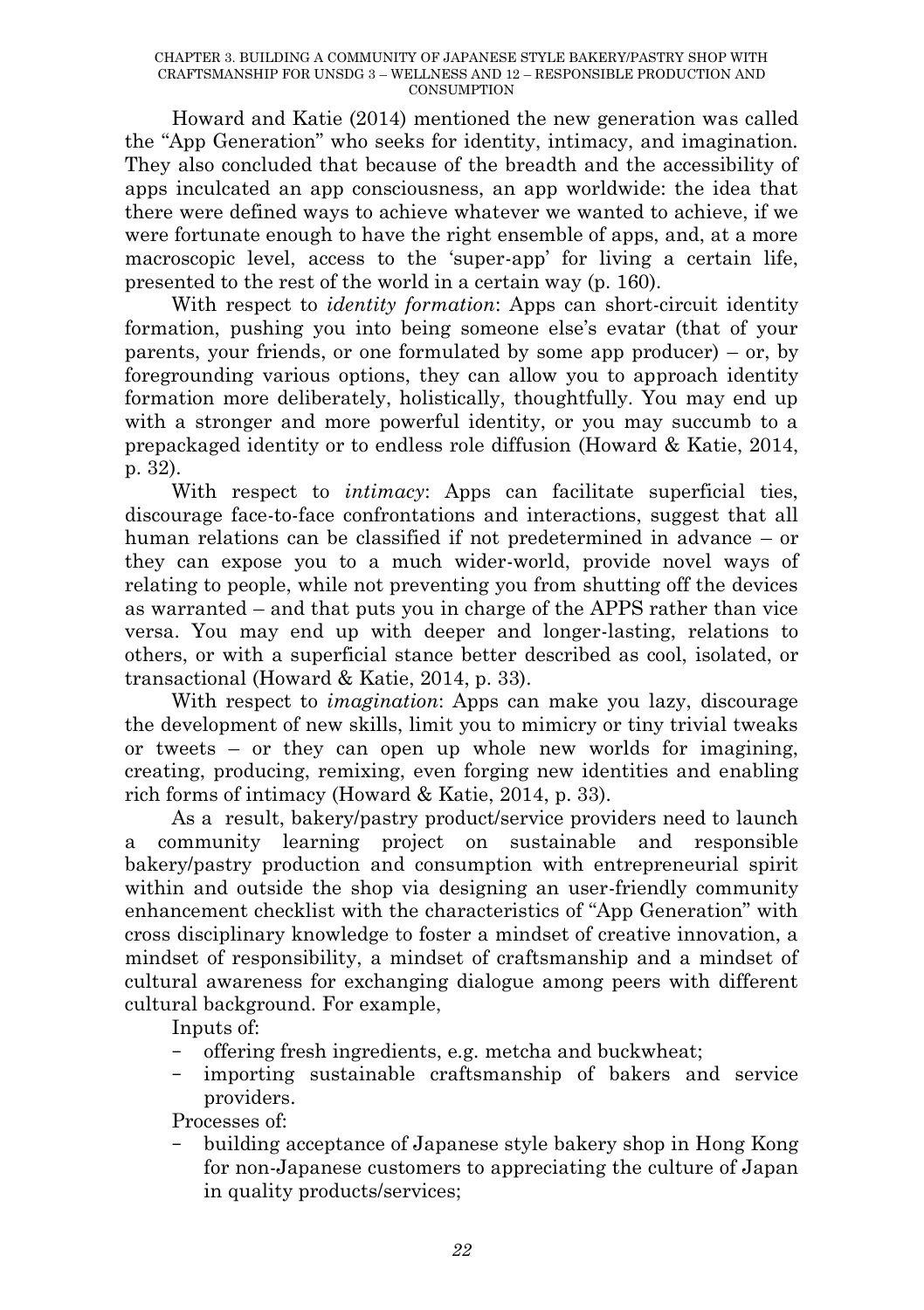Howard and Katie (2014) mentioned the new generation was called the "App Generation" who seeks for identity, intimacy, and imagination. They also concluded that because of the breadth and the accessibility of apps inculcated an app consciousness, an app worldwide: the idea that there were defined ways to achieve whatever we wanted to achieve, if we were fortunate enough to have the right ensemble of apps, and, at a more macroscopic level, access to the "super-app" for living a certain life, presented to the rest of the world in a certain way (p. 160).

With respect to *identity formation*: Apps can short-circuit identity formation, pushing you into being someone else's evatar (that of your parents, your friends, or one formulated by some app producer) – or, by foregrounding various options, they can allow you to approach identity formation more deliberately, holistically, thoughtfully. You may end up with a stronger and more powerful identity, or you may succumb to a prepackaged identity or to endless role diffusion (Howard & Katie, 2014, p. 32).

With respect to *intimacy*: Apps can facilitate superficial ties, discourage face-to-face confrontations and interactions, suggest that all human relations can be classified if not predetermined in advance – or they can expose you to a much wider-world, provide novel ways of relating to people, while not preventing you from shutting off the devices as warranted – and that puts you in charge of the APPS rather than vice versa. You may end up with deeper and longer-lasting, relations to others, or with a superficial stance better described as cool, isolated, or transactional (Howard & Katie, 2014, p. 33).

With respect to *imagination*: Apps can make you lazy, discourage the development of new skills, limit you to mimicry or tiny trivial tweaks or tweets – or they can open up whole new worlds for imagining, creating, producing, remixing, even forging new identities and enabling rich forms of intimacy (Howard & Katie, 2014, p. 33).

As a result, bakery/pastry product/service providers need to launch community learning project on sustainable and responsible bakery/pastry production and consumption with entrepreneurial spirit within and outside the shop via designing an user-friendly community enhancement checklist with the characteristics of "App Generation" with cross disciplinary knowledge to foster a mindset of creative innovation, a mindset of responsibility, a mindset of craftsmanship and a mindset of cultural awareness for exchanging dialogue among peers with different cultural background. For example,

Inputs of:

- offering fresh ingredients, e.g. metcha and buckwheat;
- importing sustainable craftsmanship of bakers and service providers.

Processes of:

– building acceptance of Japanese style bakery shop in Hong Kong for non-Japanese customers to appreciating the culture of Japan in quality products/services;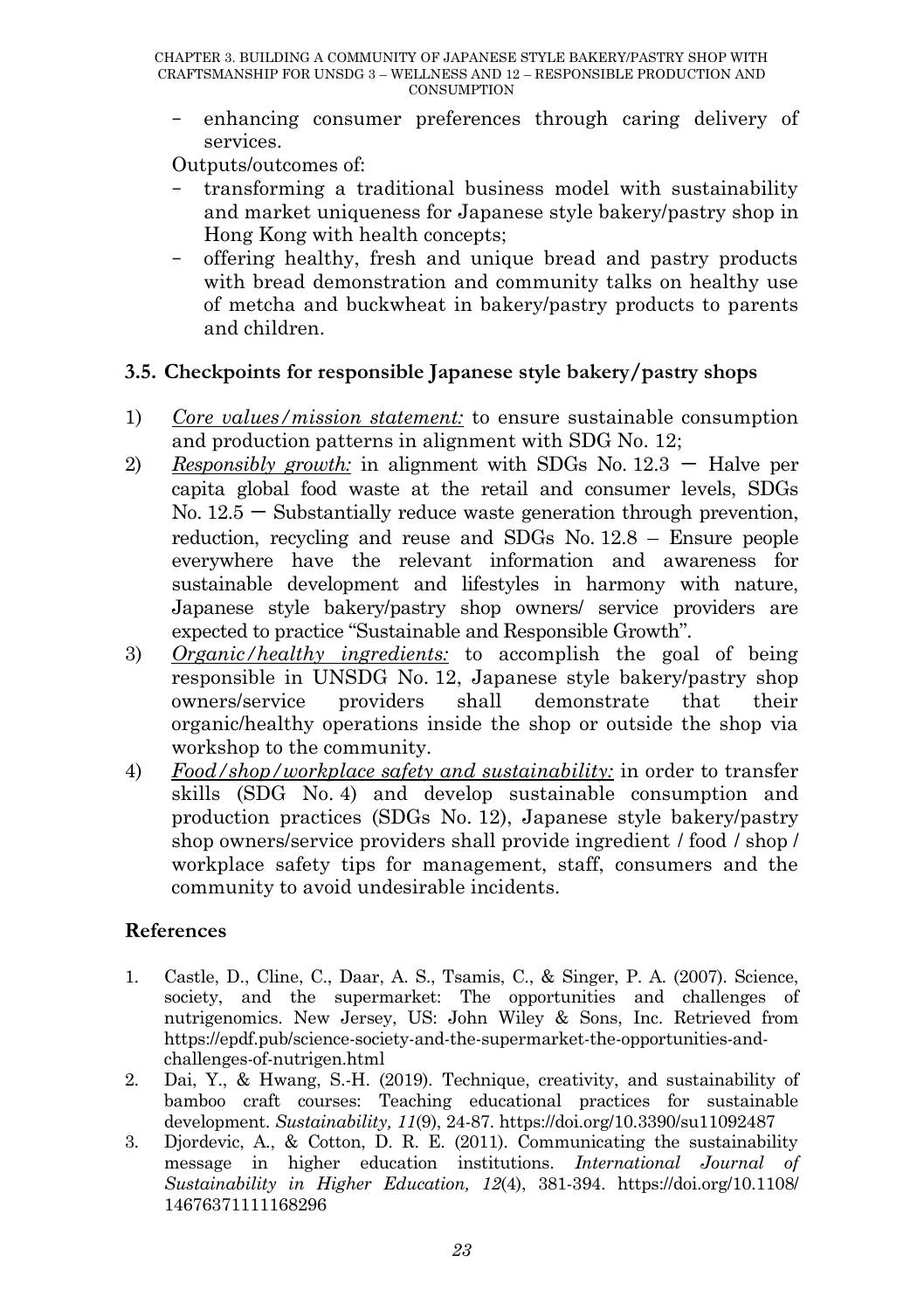– enhancing consumer preferences through caring delivery of services.

Outputs/outcomes of:

- transforming a traditional business model with sustainability and market uniqueness for Japanese style bakery/pastry shop in Hong Kong with health concepts;
- offering healthy, fresh and unique bread and pastry products with bread demonstration and community talks on healthy use of metcha and buckwheat in bakery/pastry products to parents and children.

### **3.5. Checkpoints for responsible Japanese style bakery/pastry shops**

- 1) *Core values/mission statement:* to ensure sustainable consumption and production patterns in alignment with SDG No. 12;
- 2) *Responsibly growth:* in alignment with SDGs No.  $12.3 -$  Halve per capita global food waste at the retail and consumer levels, SDGs  $No. 12.5 - Substantially reduce waste generation through prevention,$ reduction, recycling and reuse and SDGs No. 12.8 – Ensure people everywhere have the relevant information and awareness for sustainable development and lifestyles in harmony with nature, Japanese style bakery/pastry shop owners/ service providers are expected to practice "Sustainable and Responsible Growth".
- 3) *Organic/healthy ingredients:* to accomplish the goal of being responsible in UNSDG No. 12, Japanese style bakery/pastry shop owners/service providers shall demonstrate that their organic/healthy operations inside the shop or outside the shop via workshop to the community.
- 4) *Food/shop/workplace safety and sustainability:* in order to transfer skills (SDG No. 4) and develop sustainable consumption and production practices (SDGs No. 12), Japanese style bakery/pastry shop owners/service providers shall provide ingredient / food / shop / workplace safety tips for management, staff, consumers and the community to avoid undesirable incidents.

# **References**

- 1. Castle, D., Cline, C., Daar, A. S., Tsamis, C., & Singer, P. A. (2007). Science, society, and the supermarket: The opportunities and challenges of nutrigenomics. New Jersey, US: John Wiley & Sons, Inc. Retrieved from https://epdf.pub/science-society-and-the-supermarket-the-opportunities-andchallenges-of-nutrigen.html
- 2. Dai, Y., & Hwang, S.-H. (2019). Technique, creativity, and sustainability of bamboo craft courses: Teaching educational practices for sustainable development. *Sustainability, 11*(9), 24-87. https://doi.org/10.3390/su11092487
- 3. Djordevic, A., & Cotton, D. R. E. (2011). Communicating the sustainability message in higher education institutions. *International Journal of Sustainability in Higher Education, 12*(4), 381-394. https://doi.org/10.1108/ 14676371111168296